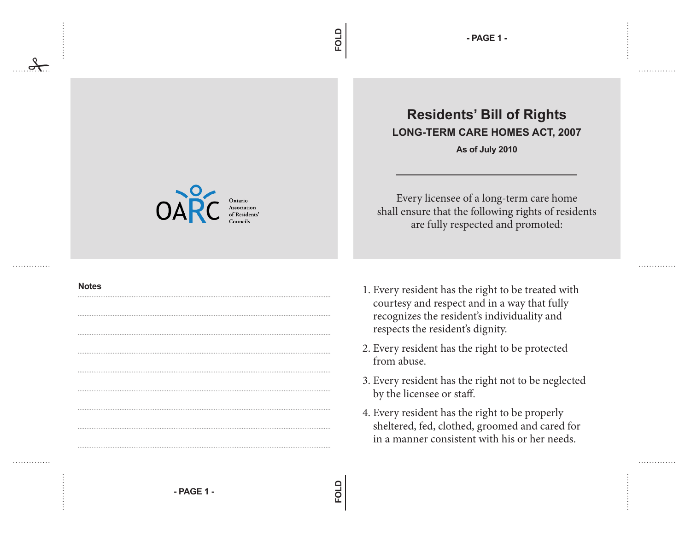## **Residents' Bill of Rights LONG-TERM CARE HOMES ACT, 2007**

**As of July 2010**

Every licensee of a long-term care home shall ensure that the following rights of residents are fully respected and promoted:

. . . . . . . . . . . . .

. . . . . . . . . . . . .

- 1. Every resident has the right to be treated with courtesy and respect and in a way that fully recognizes the resident's individuality and respects the resident's dignity.
- 2. Every resident has the right to be protected from abuse.
- 3. Every resident has the right not to be neglected by the licensee or staff.
- 4. Every resident has the right to be properly sheltered, fed, clothed, groomed and cared for in a manner consistent with his or her needs.

**FOLD**

**FOLD**





## **Notes**

. . . . . . . . . . . . .

. . . . . . . . . . . . .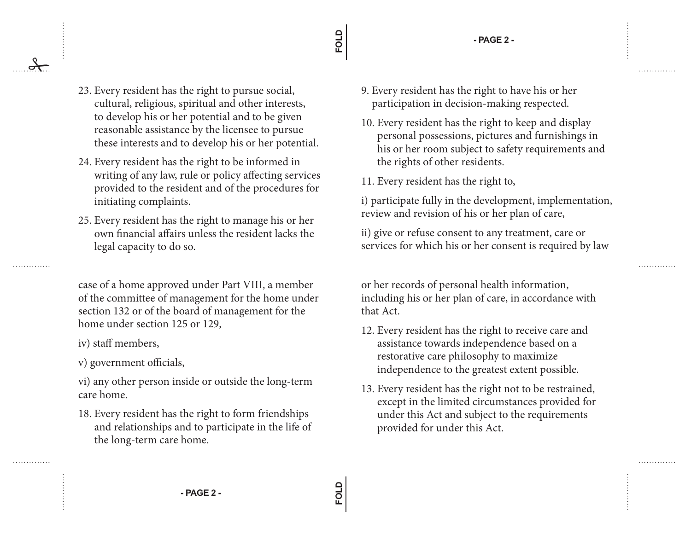**- PAGE 2 -**

23. Every resident has the right to pursue social, cultural, religious, spiritual and other interests, to develop his or her potential and to be given reasonable assistance by the licensee to pursue these interests and to develop his or her potential.

- 24. Every resident has the right to be informed in writing of any law, rule or policy affecting services provided to the resident and of the procedures for initiating complaints.
- 25. Every resident has the right to manage his or her own financial affairs unless the resident lacks the legal capacity to do so.

case of a home approved under Part VIII, a member of the committee of management for the home under section 132 or of the board of management for the home under section 125 or 129,

- iv) staff members,
- v) government officials,

vi) any other person inside or outside the long-term care home.

18. Every resident has the right to form friendships and relationships and to participate in the life of the long-term care home.

- 9. Every resident has the right to have his or her participation in decision-making respected.
- 10. Every resident has the right to keep and display personal possessions, pictures and furnishings in his or her room subject to safety requirements and the rights of other residents.
- 11. Every resident has the right to,

i) participate fully in the development, implementation, review and revision of his or her plan of care,

ii) give or refuse consent to any treatment, care or services for which his or her consent is required by law

or her records of personal health information, including his or her plan of care, in accordance with that Act.

- 12. Every resident has the right to receive care and assistance towards independence based on a restorative care philosophy to maximize independence to the greatest extent possible.
- 13. Every resident has the right not to be restrained, except in the limited circumstances provided for under this Act and subject to the requirements provided for under this Act.

**FOLD**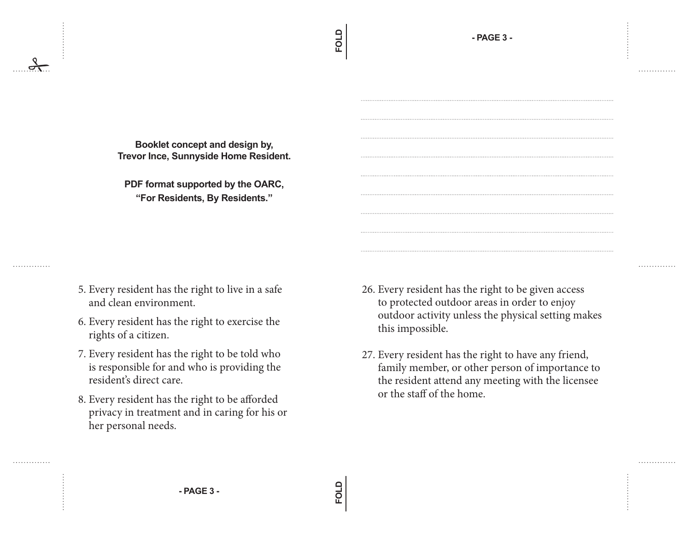. . . . . . . . . . . . . .

. . . . . . . . . . . . .

. . . . . . . . . . . . . .

**FOLD**

**Booklet concept and design by, Trevor Ince, Sunnyside Home Resident.**

**PDF format supported by the OARC, "For Residents, By Residents."**

5. Every resident has the right to live in a safe and clean environment.

. . . . . . . . . . . . . .

. . . . . . . . . . . . . .

- 6. Every resident has the right to exercise the rights of a citizen.
- 7. Every resident has the right to be told who is responsible for and who is providing the resident's direct care.
- 8. Every resident has the right to be afforded privacy in treatment and in caring for his or her personal needs.
- 26. Every resident has the right to be given access to protected outdoor areas in order to enjoy outdoor activity unless the physical setting makes this impossible.
- 27. Every resident has the right to have any friend, family member, or other person of importance to the resident attend any meeting with the licensee or the staff of the home.